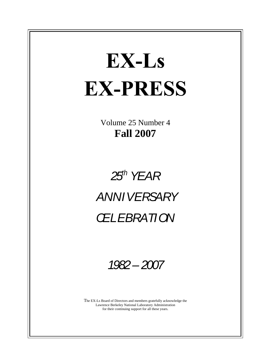# EX-Ls **EX-PRESS**

Volume 25 Number 4 **Fall 2007**

# $25^h$  YEAR  $\parallel$  $\mathcal{F}^h$  YEAR  $\parallel$ ANNIVERSARY CELEBRATION

1982– 2007

The EX-Ls Board of Directors and members gratefully acknowledge the Lawrence Berkeley National Laboratory Administration for their continuing support for all these years.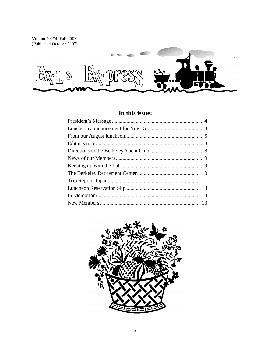Volume 25 #4: Fall 2007 (Published October 2007)



## In this issue:

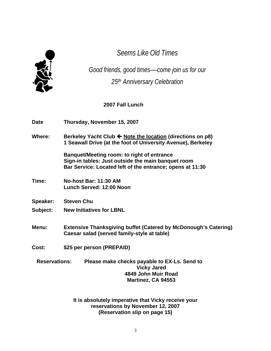

Seems Like Old Times **Seems** Like Old Times

Good friends, good times—come join us for our 25<sup>th</sup> Anniversary Celebration

**2007 Fall Lunch**

**Date: Thursday, November 15, 2007**

Where: **Berkeley Yacht Club**  $\leftarrow$  Note the location (directions on p8) **1 Seawall Drive (at the foot of University Avenue), Berkeley**

> **Banquet/Meeting room: to right of entrance Sign-in tables: Just outside the main banquet room Bar Service: Located left of the entrance; opens at 11:30**

- **Time: No-host Bar: 11:30 AM Lunch Served: 12:00 Noon**
- **Speaker: Steven Chu**
- **Subject: New Initiatives for LBNL**

**Menu: Extensive Thanksgiving buffet (Catered by McDonough's Catering) Caesar salad (served family-style at table)**

**Cost: \$25 per person (PREPAID)** 

**Reservations: Please make checks payable to EX-Ls. Send to Vicky Jared 4849 John Muir Road Martinez, CA 94553**

**It is absolutely imperative that Vicky receive your reservations by November 12, 2007 (Reservation slip on page 15)**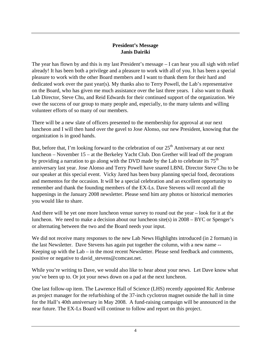#### **President's Message Janis Dairiki**

The year has flown by and this is my last President's message – I can hear you all sigh with relief already! It has been both a privilege and a pleasure to work with all of you. It has been a special pleasure to work with the other Board members and I want to thank them for their hard and dedicated work over the past year(s). My thanks also to Terry Powell, the Lab's representative on the Board, who has given me much assistance over the last three years. I also want to thank Lab Director, Steve Chu, and Reid Edwards for their continued support of the organization. We owe the success of our group to many people and, especially, to the many talents and willing volunteer efforts of so many of our members.

There will be a new slate of officers presented to the membership for approval at our next luncheon and I will then hand over the gavel to Jose Alonso, our new President, knowing that the organization is in good hands.

But, before that, I'm looking forward to the celebration of our  $25<sup>th</sup>$  Anniversary at our next luncheon – November 15 – at the Berkeley Yacht Club. Don Grether will lead off the program by providing a narration to go along with the DVD made by the Lab to celebrate its  $75<sup>th</sup>$ anniversary last year. Jose Alonso and Terry Powell have snared LBNL Director Steve Chu to be our speaker at this special event. Vicky Jared has been busy planning special food, decorations and mementos for the occasion. It will be a special celebration and an excellent opportunity to remember and thank the founding members of the EX-Ls. Dave Stevens will record all the happenings in the January 2008 newsletter. Please send him any photos or historical memories you would like to share.

And there will be yet one more luncheon venue survey to round out the year – look for it at the luncheon. We need to make a decision about our luncheon site(s) in 2008 – BYC or Spenger's or alternating between the two and the Board needs your input.

We did not receive many responses to the new Lab News Highlights introduced (in 2 formats) in the last Newsletter. Dave Stevens has again put together the column, with a new name -- Keeping up with the Lab – in the most recent Newsletter. Please send feedback and comments, positive or negative to david\_stevens@comcast.net.

While you're writing to Dave, we would also like to hear about your news. Let Dave know what you've been up to. Or jot your news down on a pad at the next luncheon.

One last follow-up item. The Lawrence Hall of Science (LHS) recently appointed Ric Ambrose as project manager for the refurbishing of the 37-inch cyclotron magnet outside the hall in time for the Hall's 40th anniversary in May 2008. A fund-raising campaign will be announced in the near future. The EX-Ls Board will continue to follow and report on this project.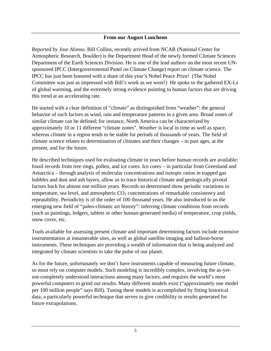#### **From our August Luncheon**

*Reported by Jose Alonso.* Bill Collins, recently arrived from NCAR (National Center for Atmospheric Research, Boulder) is the Department Head of the newly formed Climate Sciences Department of the Earth Sciences Division. He is one of the lead authors on the most recent UN sponsored IPCC (Intergovernmental Panel on Climate Change) report on climate science. The IPCC has just been honored with a share of this year's Nobel Peace Prize! (The Nobel Committee was just as impressed with Bill's work as we were!) He spoke to the gathered EX-Ls of global warming, and the extremely strong evidence pointing to human factors that are driving this trend at an accelerating rate.

He started with a clear definition of "climate" as distinguished from "weather": the general behavior of such factors as wind, rain and temperature patterns in a given area. Broad zones of similar climate can be defined; for instance, North America can be characterized by approximately 10 or 11 different "climate zones". *Weather* is local in time as well as space, whereas *climate* in a region tends to be stable for periods of thousands of years. The field of climate science relates to determination of climates and their changes – in past ages, at the present, and for the future.

He described techniques used for evaluating climate in years before human records are available: fossil records from tree rings, pollen, and ice cores. Ice cores – in particular from Greenland and Antarctica – through analysis of molecular concentrations and isotopic ratios in trapped gas bubbles and dust and ash layers, allow us to trace historical climate and geologically pivotal factors back for almost one million years. Records so determined show periodic variations in temperature, sea level, and atmospheric  $CO<sub>2</sub>$  concentrations of remarkable consistency and repeatability. Periodicity is of the order of 100 thousand years. He also introduced to us the emerging new field of "paleo-climatic art history": inferring climate conditions from records (such as paintings, ledgers, tablets or other human-generated media) of temperature, crop yields, snow cover, etc.

Tools available for assessing present climate and important determining factors include extensive instrumentation at innumerable sites, as well as global satellite imaging and balloon-borne instruments. These techniques are providing a wealth of information that is being analyzed and integrated by climate scientists to take the pulse of our planet.

As for the future, unfortunately we don't have instruments capable of measuring future climate, so must rely on computer models. Such modeling is incredibly complex, involving the as-yet not-completely understood interactions among many factors, and requires the world's most powerful computers to grind out results. Many different models exist ("approximately one model per 100 million people" says Bill). Tuning these models is accomplished by fitting historical data, a particularly powerful technique that serves to give credibility to results generated for future extrapolations.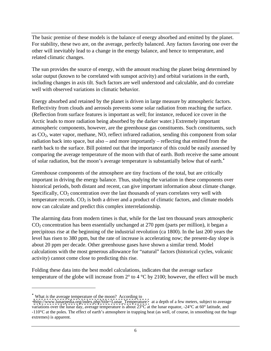The basic premise of these models is the balance of energy absorbed and emitted by the planet. For stability, these two are, on the average, perfectly balanced. Any factors favoring one over the other will inevitably lead to a change in the energy balance, and hence to temperature, and related climatic changes.

The sun provides the source of energy, with the amount reaching the planet being determined by solar output (known to be correlated with sunspot activity) and orbital variations in the earth, including changes in axis tilt. Such factors are well understood and calculable, and do correlate well with observed variations in climatic behavior.

Energy absorbed and retained by the planet is driven in large measure by atmospheric factors. Reflectivity from clouds and aerosols prevents some solar radiation from reaching the surface. (Reflection from surface features is important as well; for instance, reduced ice cover in the Arctic leads to more radiation being absorbed by the darker water.) Extremely important atmospheric components, however, are the greenhouse gas constituents. Such constituents, such as  $CO<sub>2</sub>$ , water vapor, methane, NO, reflect infrared radiation, sending this component from solar radiation back into space, but also – and more importantly – reflecting that emitted from the earth back to the surface. Bill pointed out that the importance of this could be easily assessed by comparing the average temperature of the moon with that of earth. Both receive the same amount of solar radiation, but the moon's average temperature is substantially below that of earth.

Greenhouse components of the atmosphere are tiny fractions of the total, but are critically important in driving the energy balance. Thus, studying the variation in these components over historical periods, both distant and recent, can give important information about climate change. Specifically, CO<sub>2</sub> concentration over the last thousands of years correlates very well with temperature records.  $CO<sub>2</sub>$  is both a driver and a product of climatic factors, and climate models now can calculate and predict this complex interrelationship.

The alarming data from modern times is that, while for the last ten thousand years atmospheric  $CO<sub>2</sub>$  concentration has been essentially unchanged at 270 ppm (parts per million), it began a precipitous rise at the beginning of the industrial revolution (ca 1800). In the last 200 years the level has risen to 380 ppm, but the rate of increase is accelerating now; the present-day slope is about 20 ppm per decade. Other greenhouse gases have shown a similar trend. Model calculations with the most generous allowance for "natural" factors (historical cycles, volcanic activity) cannot come close to predicting this rise.

Folding these data into the best model calculations, indicates that the average surface temperature of the globe will increase from 2° to 4 °C by 2100; however, the effect will be much

What *is* the average temperature of the moon? According to

[<sup>&</sup>lt;http://www.lunarpedia.org/index.php?title=Lunar\\_Temperature>](http://www.lunarpedia.org/index.php?title=Lunar_Temperature>) at a depth of a few meters, subject to average -110°C at the poles. The effect of earth's atmosphere in trapping heat (as well, of course, in smoothing out the huge extremes) is apparent.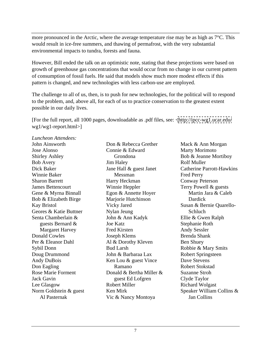more pronounced in the Arctic, where the average temperature rise may be as high as  $7^{\circ}$ C. This would result in ice-free summers, and thawing of permafrost, with the very substantial environmental impacts to tundra, forests and fauna.

However, Bill ended the talk on an optimistic note, stating that these projections were based on growth of greenhouse gas concentrations that would occur from no change in our current pattern of consumption of fossil fuels. He said that models show much more modest effects if this pattern is changed, and new technologies with less carbon-use are employed.

The challenge to all of us, then, is to push for new technologies, for the political will to respond to the problem, and, above all, for each of us to practice conservation to the greatest extent possible in our daily lives.

[For the full report, all 1000 pages, downloadable as .pdf files, see: [<http://ipcc-wg1.ucar.edu/](http://ipcc-wg1.ucar.edu/) wg1/wg1-report.html>]

*Luncheon Attendees:*  Sharon Barrett **Sharon** Harry Heckman **Sharon** Conway Peterson Bob & Elizabeth Birge Marjorie Hutchinson Dardick Geores & Katie Buttner Senta Chamberlain & John & Ann Kadyk Ellie & Gwen Ralph Per & Eleanor Dahl Al & Dorothy Kleven Ben Shuey

guests Bernard & **Subset 3** Joe Katz **Branch Stephanie Roth** Stephanie Roth Don & Rebecca Grether Mack & Ann Morgan Connie & Edward Vic & Nancy Montoya

John Ainsworth **South Lines Connorm Connorm Connorm Connorm Connorm Connorm Connorm Connorm Connorm Connorm Connorm Connorm Connorm Connorm Connorm Connorm Connorm Connorm Connorm Connorm Connorm Connorm Connorm Connorm Co** Jose Alonso **Solution Connie & Edward** Marty Morimoto Shirley Ashley Crondona Bob & Jeanne Mortiboy Bob Avery **Example 3** Iim Haley **Example 3 Rolf Muller** Rolf Muller Dick Baker Jane Hall & guest Janet Winnie Baker **Messman** Fred Perry James Bettencourt Winnie Heppler Terry Powell & guests Gene & Myrna Binnall Egon & Annette Hoyer Martin Jara & Caleb Kay Bristol Vicky Jared Susan & Bernie Quarello- Margaret Harvey **Fred Kirsten** Andy Sessler Donald Cowles **Solution** Sovet Seeph Klems **Brenda Shank** Brenda Shank Sybil Donn Bud Larsh Robbie & Mary Smits Doug Drummond **Solution** John & Barbaraa Lax Robert Springsteen Andy DuBois **Ken Lou & guest Vince** Dave Stevens Don Eagling **Example 2** Ramano **Robert Stokstad** Robert Stokstad Rose Marie Forment **Donald & Bertha Miller &** Suzanne Stroh Jack Gavin **State Communist Example State Communist Communist Clyde Taylor** Lee Glasgow **Robert Miller** Richard Wolgast Norm Goldstein & guest Ken Mirk Speaker William Collins & Al Pasternak Grondona Bob & Jeanne Mortiboy Jim Haley Messman **Example 3 Fred Perry** Harry Heckman Conway Peterson Marjorie Hutchinson **Dardick Dardick** Nylan Jeung John & Ann Kadyk Joe Katz Fred Kirsten **Andy Sessler** Joseph Klems Al & Dorothy Kleven Ben Shuey Bud Larsh **Robbie & Mary Smits** John & Barbaraa Lax Ramano Robert Stokstad guest Ed Lofgren Robert Miller Richard Wolgast Mack & Ann Morgan Marty Morimoto Bob & Jeanne Mortiboy Rolf Muller<br>Catherine Parrott-Hawkins Fred Perry Conway Peterson Martin Jara & Caleb Dardick **Executive Service** Service Service Service Service Service Service Service Service Service Service Service Service Service Service Service Service Service Service Service Service Service Service Service Service Se Schluch **Schluch Schluch Schluch Schluch** Ellie & Gwen Ralph Stephanie Roth Andy Sessler Brenda Shank Ben Shuey Robbie & Mary Smits Robert Springsteen Dave Stevens Robert Stokstad Suzanne Stroh Clyde Taylor Jan Collins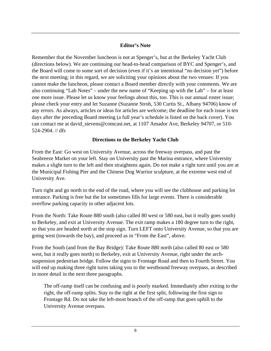#### **Editor's Note**

Remember that the November luncheon is not at Spenger's, but at the Berkeley Yacht Club (directions below). We are continuing our head-to-head comparison of BYC and Spenger's, and the Board will come to some sort of decision (even if it's an intentional "no decision yet") before the next meeting; in this regard, we are soliciting your opinions about the two venues: If you cannot make the luncheon, please contact a Board member directly with your comments. We are also continuing "Lab Notes" – under the new name of "Keeping up with the Lab" – for at least one more issue. Please let us know your feelings about this, too. This is our annual roster issue; please check your entry and let Suzanne (Suzanne Stroh, 530 Curtis St., Albany 94706) know of any errors. As always, articles or ideas for articles are welcome; the deadline for each issue is ten days after the preceding Board meeting (a full year's schedule is listed on the back cover). You can contact me at david\_stevens@comcast.net, at 1107 Amador Ave, Berkeley 94707, or 510- 524-2904. // dfs

#### **Directions to the Berkeley Yacht Club**

From the East: Go west on University Avenue, across the freeway overpass, and past the Seabreeze Market on your left. Stay on University past the Marina entrance, where University makes a slight turn to the left and then straightens again. Do not make a right turn until you are at the Municipal Fishing Pier and the Chinese Dog Warrior sculpture, at the extreme west end of University Ave.

Turn right and go north to the end of the road, where you will see the clubhouse and parking lot entrance. Parking is free but the lot sometimes fills for large events. There is considerable overflow parking capacity in other adjacent lots.

From the North: Take Route 880 south (also called 80 west or 580 east, but it really goes south) to Berkeley, and exit at University Avenue. The exit ramp makes a 180 degree turn to the right, so that you are headed north at the stop sign. Turn LEFT onto University Avenue, so that you are going west (towards the bay), and proceed as in "From the East", above.

From the South (and from the Bay Bridge): Take Route 880 north (also called 80 east or 580 west, but it really goes north) to Berkeley, exit at University Avenue, right under the arch suspension pedestrian bridge. Follow the signs to Frontage Road and then to Fourth Street. You will end up making three right turns taking you to the westbound freeway overpass, as described in more detail in the next three paragraphs.

The off-ramp itself can be confusing and is poorly marked. Immediately after exiting to the right, the off-ramp splits. Stay to the right at the first split, following the first sign to Frontage Rd. Do not take the left-most branch of the off-ramp that goes uphill to the University Avenue overpass.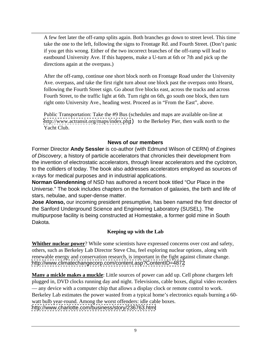A few feet later the off-ramp splits again. Both branches go down to street level. This time take the one to the left, following the signs to Frontage Rd. and Fourth Street. (Don't panic if you get this wrong. Either of the two incorrect branches of the off-ramp will lead to eastbound University Ave. If this happens, make a U-turn at 6th or 7th and pick up the directions again at the overpass.)

After the off-ramp, continue one short block north on Frontage Road under the University Ave. overpass, and take the first right turn about one block past the overpass onto Hearst, following the Fourth Street sign. Go about five blocks east, across the tracks and across Fourth Street, to the traffic light at 6th. Turn right on 6th, go south one block, then turn right onto University Ave., heading west. Proceed as in "From the East", above.

Public Transportation: Take the #9 Bus (schedules and maps are available on-line at <http://www.actransit.org/maps/index.php>) to the Berkeley Pier, then walk north to the Yacht Club.

#### **News of our members**

Former Director **Andy Sessler** is co-author (with Edmund Wilson of CERN) of Engines of Discovery, a history of particle accelerators that chronicles their development from the invention of electrostatic accelerators, through linear accelerators and the cyclotron, to the colliders of today. The book also addresses accelerators employed as sources of x-rays for medical purposes and in industrial applications.

**Norman Glendenning** of NSD has authored a recent book titled "Our Place in the Universe." The book includes chapters on the formation of galaxies, the birth and life of stars, nebulae, and super-dense matter.

**Jose Alonso,** our incoming president presumptive, has been named the first director of the Sanford Underground Science and Engineering Laboratory (SUSEL). The multipurpose facility is being constructed at Homestake, a former gold mine in South Dakota.

#### **Keeping up with the Lab**

**Whither nuclear power**? While some scientists have expressed concerns over cost and safety, others, such as Berkeley Lab Director Steve Chu, feel exploring nuclear options, along with renewable energy and conservation research, is important in the fight against climate change. <http://www.climatechangecorp.com/content.asp?ContentID=4872>

**Many a mickle makes a muckle**: Little sources of power can add up. Cell phone chargers left plugged in, DVD clocks running day and night. Televisions, cable boxes, digital video recorders — any device with a computer chip that allows a display clock or remote control to work. Berkeley Lab estimates the power wasted from a typical home's electronics equals burning a 60 watt bulb year-round. Among the worst offenders: idle cable boxes. <http://www.charlotte.com/business/story/236763.html>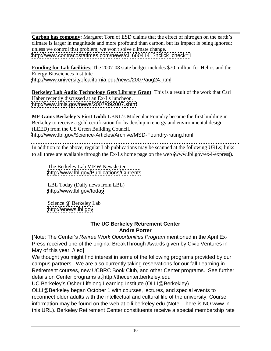**Carbon has company:** Margaret Torn of ESD claims that the effect of nitrogen on the earth's climate is larger in magnitude and more profound than carbon, but its impact is being ignored; unless we control that problem, we won't solve climate change. [http://www.contracostatimes.com/news/ci\\_6604141?nclick\\_check=1](http://www.contracostatimes.com/news/ci_6604141?nclick_check=1)

**Funding for Lab facilities**: The 2007-08 state budget includes \$70 million for Helios and the Energy Biosciences Institute.

<http://www.universityofcalifornia.edu/news/2007/aug24.html>

**Berkeley Lab Audio Technology Gets Library Grant**: This is a result of the work that Carl Haber recently discussed at an Ex-Ls luncheon. <http://www.imls.gov/news/2007/092007.shtm>

**MF Gains Berkeley's First Gold:** LBNL's Molecular Foundry became the first building in Berkeley to receive a gold certification for leadership in energy and environmental design (LEED) from the US Green Building Council. <http://www.lbl.gov/Science-Articles/Archive/MSD-Foundry-rating.html>

In addition to the above, regular Lab publications may be scanned at the following URLs; links to all three are available through the Ex-Ls home page on the web [\(www.lbl.gov/ex-l-express](http://www.lbl.gov/ex-l-express)).

The Berkeley Lab VIEW Newsletter <http://www.lbl.gov/Publications/Currents>

LBL Today (Daily news from LBL)<br>http://www.lbl.gov/today <http://www.lbl.gov/today>

Science @ Berkeley Lab <http://enews.lbl.gov>

#### **The UC Berkeley Retirement Center Andre Porter**

[Note: The Center's Retiree Work Opportunities Program mentioned in the April Ex- Press received one of the original BreakThrough Awards given by Civic Ventures in May of this year. // ed]

We thought you might find interest in some of the following programs provided by our campus partners. We are also currently taking reservations for our fall Learning in Retirement courses, new UCBRC Book Club, and other Center programs. See further details on Center programs at<http://thecenter.berkeley.edu>

UC Berkeley's Osher Lifelong Learning Institute (OLLI@Berkekley)

OLLI@Berkeley began October 1 with courses, lectures, and special events to reconnect older adults with the intellectual and cultural life of the university. Course information may be found on the web at olli.berkeley.edu (Note: There is NO www in this URL). Berkeley Retirement Center constituents receive a special membership rate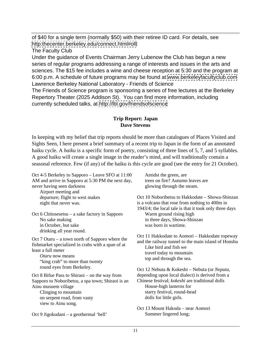of \$40 for a single term (normally \$50) with their retiree ID card. For details, see <http:thecenter.berkeley.edu/connect.html#olli>

The Faculty Club

Under the guidance of Events Chairman Jerry Lubenow the Club has begun a new series of regular programs addressing a range of interests and issues in the arts and sciences. The \$15 fee includes a wine and cheese reception at 5:30 and the program at 6:00 p.m. A schedule of future programs may be found at [www.berkeleyfacultyclub.com](http://www.berkeleyfacultyclub.com) Lawrence Berkeley National Laboratory - Friends of Science

The Friends of Science program is sponsoring a series of free lectures at the Berkeley Repertory Theater (2025 Addison St). You can find more information, including currently scheduled talks, at<http://lbl.gov/friendsofscience>

#### **Trip Report: Japan Dave Stevens**

In keeping with my belief that trip reports should be more than catalogues of Places Visited and Sights Seen, I here present a brief summary of a recent trip to Japan in the form of an annotated haiku cycle. A *haiku* is a specific form of poetry, consisting of three lines of 5, 7, and 5 syllables. A good haiku will create a single image in the reader's mind, and will traditionally contain a seasonal reference. Few (if any) of the haiku is this cycle are good (see the entry for 21 October).

Oct 4-5 Berkeley to Sapporo – Leave SFO at 11:00 AM and arrive in Sapporo at 5:30 PM the next day, never having seen darkness glowing through the steam. Airport meeting and departure; flight to west makes Oct 10 Noboribetsu to Hakkodate – Showa-Shinzan night that never was. is a volcano that rose from nothing to 400m in Oct 6 Chitosesetsu – a sake factory in Sapporo Warm ground rising high No sake making in three days, Showa-Shinzan in October, but sake was born in wartime. drinking all year round. Oct 7 Otaru – a town north of Sapporo where the fishmarket specialized in crabs with a span of at<br>Like bird and fish we least a full meter that the blue to mountain the travel today to mountain *Otaru* now means that the condition of the condition of the condition of the condition of the condition of the condition of the condition of the condition of the condition of the condition of the condition of the conditio "king crab" to more than twenty round eyes from Berkeley.<br>
8 Bifue Pass to Shiraoi – on the way from depending upon local dialect) is derived from a Oct 8 Bifue Pass to Shiraoi – on the way from depending upon local dialect) is derived from a Sapporo to Noboribetsu, a spa town; Shiraoi is an Ainu musuem village and the same House-high lanterns for the same village states and the House-high lanterns for Clinging to mountain example of the start of the starty festival, round-head on serpent road, from vasty but all the series of dolls for little girls. view to Ainu song. Oct 9 Jigokudani – a geothermal 'hell'

Amidst the green, are trees on fire? Autumn leaves are

1943/4; the local tale is that it took only three days Warm ground rising high was born in wartime.

Oct 11 Hakkodate to Aomori – Hakkodate ropeway and the railway tunnel to the main island of Honshu Like bird and fish we travel today to mountain top and through the sea.

Chinese festival; *kokeshi* are traditional dolls House-high lanterns for starry festival, round-head dolls for little girls.

Oct 13 Mount Hakoda – near Aomori Summer lingered long;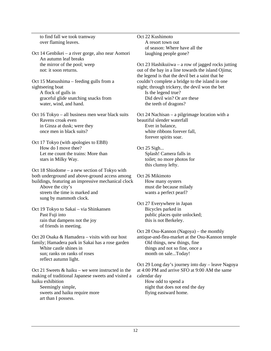over flaming leaves. A resort town out

Oct 14 Genbikei – a river gorge, also near Aomori An autumn leaf breaks

graceful glide snatching snacks from Did devil win? Or are these water, wind, and hand. the teeth of dragons?

Oct 16 Tokyo – all business men wear black suits

Oct 17 Tokyo (with apologies to EBB) How do I move thee? Oct 25 Sigh... Let me count the trains: More than Splash! Camera falls in stars in Milky Way. toilet; no more photos for

Oct 18 Shiodome – a new section of Tokyo with both underground and above-ground access among Oct 26 Mikimoto buildings, featuring an impressive mechanical clock How many ovsters

streets the time is marked and sung by mammoth clock.

Oct 19 Tokyo to Sakai – via Shinkansen Past Fuji into public places quite unlocked; rain that dampens not the joy of friends in meeting.

family; Hamadera park in Sakai has a rose garden Old things, new things, fine<br>White castle shines in things and not so fine, once sun; ranks on ranks of roses reflect autumn light.

Oct 21 Sweets & haiku – we were instructed in the making of traditional Japanese sweets and visited a

sweets and haiku require more art than I possess.

to find fall we took tramway observed to the Section 22 Kushimoto Oct 22 Kushimoto A resort town out of season: Where have all the laughing people gone?

the mirror of the pool; weep Oct 23 Hashikuiiwa – a row of jagged rocks jutting not: it soon returns.  $\qquad \qquad \text{out of the bay in a line towards the island Ojima};$ Oct 15 Matsushima – feeding gulls from a couldn't complete a bridge to the island in one sightseeing boat night; through trickery, the devil won the bet A flock of gulls in Section 1 and Section 1 and Section 1 and Section 1 and Section 1 and Section 1 and Section 1 and Section 1 and Section 1 and Section 1 and Section 1 and Section 1 and Section 1 and Section 1 and Sectio the legend is that the devil bet a saint that he Is the legend true?

Did devil win? Or are these the teeth of dragons?

Ravens croak even beautiful slender waterfall in Ginza at dusk; were they Ever in balance, once men in black suits? white ribbons forever fall, Oct 24 Nachisan – a pilgrimage location with a beautiful slender waterfall Ever in balance, white ribbons forever fall, forever spirits soar.

> Oct 25 Sigh... Splash! Camera falls in this clumsy lefty.

Above the city's<br>
must die because milady<br>
streets the time is marked and<br>
must die because milady<br>
wants a perfect pearl? Oct 26 Mikimoto How many oysters must die because milady wants a perfect pearl?

> Oct 27 Everywhere in Japan Bicycles parked in this is not Berkeley.

Oct 20 Osaka & Hamadera – visits with our host antique-and-flea-market at the Osu-Kannon temple White castle shines in things and not so fine, once a Oct 28 Osu-Kannon (Nagoya) – the monthly Old things, new things, fine things and not so fine, once a month on sale...Today!

haiku exhibition a controller to the How odd to spend a series and the How odd to spend a Seemingly simple, and the day inight that does not end the day Oct 29 Long day's journey into day – leave Nagoya at 4:00 PM and arrive SFO at 9:00 AM the same calendar day How odd to spend a flying eastward home.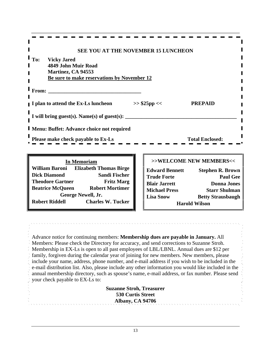| SEE YOU AT THE NOVEMBER 15 LUNCHEON              |                                                                          |  |
|--------------------------------------------------|--------------------------------------------------------------------------|--|
| To: Vicky Jared                                  |                                                                          |  |
| 4849 John Muir Road<br><b>Martinez, CA 94553</b> |                                                                          |  |
| Be sure to make reservations by November 12      |                                                                          |  |
| From:                                            |                                                                          |  |
|                                                  |                                                                          |  |
| I plan to attend the Ex-Ls luncheon              | <b>PREPAID</b><br>>> \$25pp <<                                           |  |
| I will bring guest(s). Name(s) of guest(s):      |                                                                          |  |
|                                                  |                                                                          |  |
| Menu: Buffet: Advance choice not required        |                                                                          |  |
| Please make check payable to Ex-Ls               | <b>Total Enclosed:</b>                                                   |  |
|                                                  |                                                                          |  |
| <b>In Memoriam</b>                               | >>WELCOME NEW MEMBERS<<                                                  |  |
| William Raroni - Elizabeth Thomas Rirge          | $\mathbf{r}$ , $\mathbf{r}$<br>$\sim$ $\sim$ $\sim$ $\sim$ $\sim$ $\sim$ |  |

| <u>III IVICINOI IAIII</u>                         |                                              |                 |
|---------------------------------------------------|----------------------------------------------|-----------------|
|                                                   | <b>Edward Bennett</b><br>Stephen R. Brown    |                 |
| Sandi Fischer<br><b>Dick Diamond</b>              | <b>Trude Forte</b>                           | <b>Paul Gee</b> |
| <b>Fritz Marg</b><br><b>Theodore Gartner</b>      | Blair Jarrett<br><b>Donna Jones</b>          |                 |
| <b>Beatrice McQueen</b><br><b>Robert Mortimer</b> | <b>Starr Shulman</b><br><b>Michael Press</b> |                 |
| George Newell, Jr.                                | <b>Betty Strausbaugh</b><br><b>Lisa Snow</b> |                 |
| <b>Charles W. Tucker</b><br><b>Robert Riddell</b> | <b>Harold Wilson</b>                         |                 |
|                                                   |                                              |                 |

Advance notice for continuing members: **Membership dues are payable in January.** All Members: Please check the Directory for accuracy, and send corrections to Suzanne Stroh. Membership in EX-Ls is open to all past employees of LBL/LBNL. Annual dues are \$12 per family, forgiven during the calendar year of joining for new members. New members, please include your name, address, phone number, and e-mail address if you wish to be included in the e-mail distribution list. Also, please include any other information you would like included in the annual membership directory, such as spouse's name, e-mail address, or fax number. Please send your check payable to EX-Ls to:

**Suzanne Stroh, Treasurer 530 Curtis Street Albany, CA 94706**